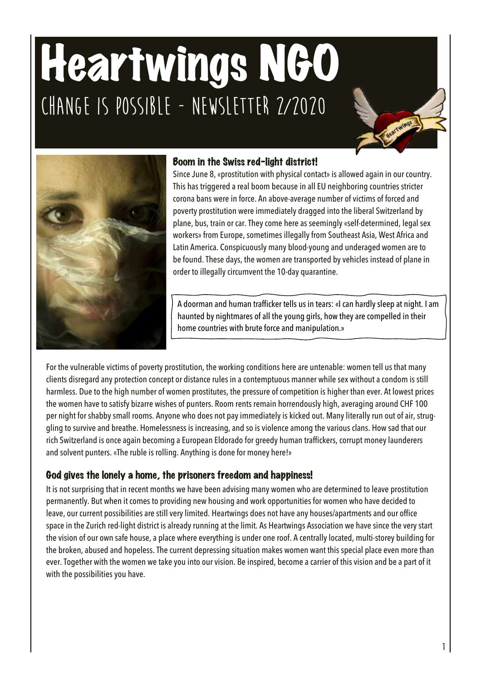# Heartwings NGO **Change is possible - Newsletter 2/2020**



#### Boom in the Swiss red-light district!

Since June 8, «prostitution with physical contact» is allowed again in our country. This has triggered a real boom because in all EU neighboring countries stricter corona bans were in force. An above-average number of victims of forced and poverty prostitution were immediately dragged into the liberal Switzerland by plane, bus, train or car. They come here as seemingly «self-determined, legal sex workers» from Europe, sometimes illegally from Southeast Asia, West Africa and Latin America. Conspicuously many blood-young and underaged women are to be found. These days, the women are transported by vehicles instead of plane in order to illegally circumvent the 10-day quarantine.

A doorman and human trafficker tells us in tears: «I can hardly sleep at night. I am haunted by nightmares of all the young girls, how they are compelled in their home countries with brute force and manipulation.»

For the vulnerable victims of poverty prostitution, the working conditions here are untenable: women tell us that many clients disregard any protection concept or distance rules in a contemptuous manner while sex without a condom is still harmless. Due to the high number of women prostitutes, the pressure of competition is higher than ever. At lowest prices the women have to satisfy bizarre wishes of punters. Room rents remain horrendously high, averaging around CHF 100 per night for shabby small rooms. Anyone who does not pay immediately is kicked out. Many literally run out of air, struggling to survive and breathe. Homelessness is increasing, and so is violence among the various clans. How sad that our rich Switzerland is once again becoming a European Eldorado for greedy human traffickers, corrupt money launderers and solvent punters. «The ruble is rolling. Anything is done for money here!»

#### God gives the lonely a home, the prisoners freedom and happiness!

It is not surprising that in recent months we have been advising many women who are determined to leave prostitution permanently. But when it comes to providing new housing and work opportunities for women who have decided to leave, our current possibilities are still very limited. Heartwings does not have any houses/apartments and our office space in the Zurich red-light district is already running at the limit. As Heartwings Association we have since the very start the vision of our own safe house, a place where everything is under one roof. A centrally located, multi-storey building for the broken, abused and hopeless. The current depressing situation makes women want this special place even more than ever. Together with the women we take you into our vision. Be inspired, become a carrier of this vision and be a part of it with the possibilities you have.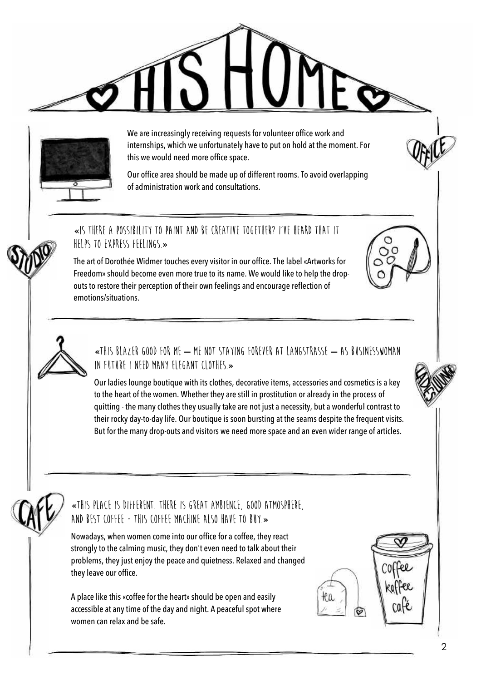



We are increasingly receiving requests for volunteer office work and internships, which we unfortunately have to put on hold at the moment. For this we would need more office space.

Our office area should be made up of different rooms. To avoid overlapping of administration work and consultations.

## **«Is there a possibility to paint and be creative together? I've heard that it helps to express feelings.»**

The art of Dorothée Widmer touches every visitor in our office. The label «Artworks for Freedom» should become even more true to its name. We would like to help the dropouts to restore their perception of their own feelings and encourage reflection of emotions/situations.



#### **«This blazer good for me – Me not staying forever at Langstrasse – as businesswoman in future I need many elegant clothes.»**

Our ladies lounge boutique with its clothes, decorative items, accessories and cosmetics is a key to the heart of the women. Whether they are still in prostitution or already in the process of quitting - the many clothes they usually take are not just a necessity, but a wonderful contrast to their rocky day-to-day life. Our boutique is soon bursting at the seams despite the frequent visits. But for the many drop-outs and visitors we need more space and an even wider range of articles.



#### **«This place is different. There is great ambience, good atmosphere, and best coffee - this coffee machine also have to buy.»**

Nowadays, when women come into our office for a coffee, they react strongly to the calming music, they don't even need to talk about their problems, they just enjoy the peace and quietness. Relaxed and changed they leave our office.

A place like this «coffee for the heart» should be open and easily accessible at any time of the day and night. A peaceful spot where women can relax and be safe.

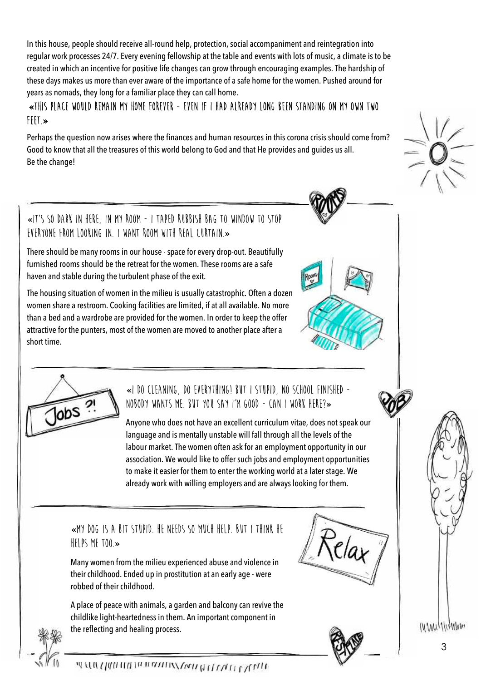In this house, people should receive all-round help, protection, social accompaniment and reintegration into regular work processes 24/7. Every evening fellowship at the table and events with lots of music, a climate is to be created in which an incentive for positive life changes can grow through encouraging examples. The hardship of these days makes us more than ever aware of the importance of a safe home for the women. Pushed around for years as nomads, they long for a familiar place they can call home.

#### «This place would remain my home forever - even if I had already long been standing on my own two feet.»

Perhaps the question now arises where the finances and human resources in this corona crisis should come from? Good to know that all the treasures of this world belong to God and that He provides and guides us all. Be the change!

## **«It's so dark in here, in my room - I taped rubbish bag to window to stop everyone from looking in. I want room with real curtain.»**

There should be many rooms in our house - space for every drop-out. Beautifully furnished rooms should be the retreat for the women. These rooms are a safe haven and stable during the turbulent phase of the exit.

The housing situation of women in the milieu is usually catastrophic. Often a dozen women share a restroom. Cooking facilities are limited, if at all available. No more than a bed and a wardrobe are provided for the women. In order to keep the offer attractive for the punters, most of the women are moved to another place after a short time.



**«I do cleaning, do everything! But I stupid, no school finished nobody wants me. But you say I'm good - can I work here?»**

Anyone who does not have an excellent curriculum vitae, does not speak our language and is mentally unstable will fall through all the levels of the labour market. The women often ask for an employment opportunity in our association. We would like to offer such jobs and employment opportunities to make it easier for them to enter the working world at a later stage. We already work with willing employers and are always looking for them.

## **«My dog is a bit stupid. He needs so much help. But I think he helps me too.»**

Many women from the milieu experienced abuse and violence in their childhood. Ended up in prostitution at an early age - were robbed of their childhood.

A place of peace with animals, a garden and balconycan revive the childlike light-heartedness in them. An important component in the reflecting and healing process.





INWilliam



www.filmuth.com/www.filmuth.com